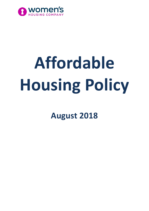

# **Affordable Housing Policy**

**August 2018**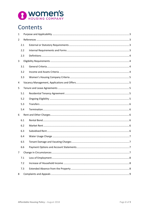

# Contents

| $\mathbf{1}$   |     |  |
|----------------|-----|--|
| $\overline{2}$ |     |  |
|                | 2.1 |  |
|                | 2.2 |  |
|                | 2.3 |  |
| 3              |     |  |
|                | 3.1 |  |
|                | 3.2 |  |
|                | 3.3 |  |
| $\overline{4}$ |     |  |
| 5              |     |  |
|                | 5.1 |  |
|                | 5.2 |  |
|                | 5.3 |  |
|                | 5.4 |  |
| 6              |     |  |
|                | 6.1 |  |
|                | 6.2 |  |
|                | 6.3 |  |
|                | 6.4 |  |
|                | 6.5 |  |
|                | 6.6 |  |
| $\overline{7}$ |     |  |
|                | 7.1 |  |
|                | 7.2 |  |
|                | 7.3 |  |
| 8              |     |  |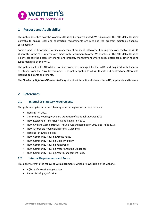

# <span id="page-2-0"></span>**1 Purpose and Applicability**

This policy describes how the Women's Housing Company Limited (WHC) manages the Affordable Housing portfolio to ensure legal and contractual requirements are met and the program maintains financial sustainability.

Some aspects of Affordable Housing management are identical to other housing types offered by the WHC. Where this is the case, referrals are made in this document to other WHC policies. The Affordable Housing Policy sets out the details of tenancy and property management where policy differs from other housing types managed by the WHC.

The policy applies to Affordable Housing properties managed by the WHC and acquired with financial assistance from the NSW Government. The policy applies to all WHC staff and contractors, Affordable Housing applicants and tenants.

The *Charter of Rights and Responsibilities* guides the interactions between the WHC, applicants and tenants.

# <span id="page-2-1"></span>**2 References**

#### <span id="page-2-2"></span>**2.1 External or Statutory Requirements**

This policy complies with the following external legislation or requirements:

- Housing Act 2001
- Community Housing Providers (Adoption of National Law) Act 2012
- NSW Residential Tenancies Act and Regulation 2010
- NSW Civil and Administrative Tribunal Act and Regulation 2013 and Rules 2014
- NSW Affordable Housing Ministerial Guidelines
- Housing Pathways Policies
- NSW Community Housing Access Policy
- NSW Community Housing Eligibility Policy
- NSW Community Housing Rent Policy
- NSW Community Housing Water Charging Guidelines
- NSW Community Housing Asset Management Policy

#### <span id="page-2-3"></span>**2.2 Internal Requirements and Forms**

This policy refers to the following WHC documents, which are available on the website:

- *Affordable Housing Application*
- *Rental Subsidy Application*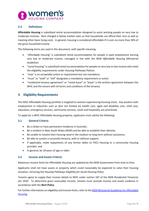

#### <span id="page-3-0"></span>**2.3 Definitions**

**Affordable Housing** is subsidised rental accommodation designed to assist working people on very low to moderate incomes. Rent charged is below market rates so that households can afford their rent as well as meeting other basic living costs. In general, housing is considered affordable if it costs no more than 30% of the gross household income.

The following terms are used in this document, with specific meaning:

- "affordable housing" is subsidised rental accommodation for people in paid employment earning very low to moderate income, managed in line with the *NSW Affordable Housing Ministerial Guidelines*
- "social housing" is subsidised rental accommodation for people on very low or low income who meet the eligibility requirements under *Housing Pathways Policies*
- "may" is an acceptable action or requirement but not mandatory
- "must" or "shall" or "will" designates a mandatory requirement or action
- "residential tenancy agreement" or "rental lease" or "lease" is the written agreement between the WHC and the tenant with all terms and conditions of the tenancy

# <span id="page-3-1"></span>**3 Eligibility Requirements**

The WHC Affordable Housing portfolio is targeted to women experiencing housing stress. Key workers with employment in industries such as (but not limited to) health care, aged and disability care, child care, education, emergency services, community services, retail and hospitality are prioritised.

To apply for a WHC Affordable Housing property, applicants must satisfy the following:

#### <span id="page-3-2"></span>**3.1 General Criteria**

- Be a citizen or have permanent residency in Australia;
- Be a resident in New South Wales (NSW) and be able to establish their identity;
- Be unable to resolve their housing need in the medium to long term without assistance;
- Be able to sustain a successful tenancy, with or without support;
- If applicable, make repayments of any former debts to FACS Housing or a community housing provider; and
- In general, be 18 years of age or older.

#### <span id="page-3-3"></span>**3.2 Income and Assets Criteria**

Maximum income limits for Affordable Housing are updated by the NSW Government from time to time.

Applicants shall not have assets or property which could reasonably be expected to solve their housing situation, mirroring the *Housing Pathways Eligibility for Social Housing Policy*.

Tenants agree to supply their income details to WHC under section 187 of the *NSW Residential Tenancies Act 2010*. To determine gross assessable income, tenants must provide income and assets evidence in accordance with the *Rent Policy*.

For further information on eligibility and income limits, refer to the [NSW Ministerial Guidelines for Affordable](https://www.facs.nsw.gov.au/download?file=332789)  [Housing.](https://www.facs.nsw.gov.au/download?file=332789)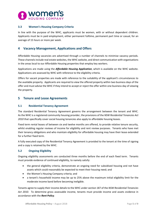

#### <span id="page-4-0"></span>**3.3 Women's Housing Company Criteria**

In line with the purpose of the WHC, applicants must be women, with or without dependent children. Applicants must be in paid employment, either permanent fulltime, permanent part time or casual, for an average of 15 hours or more per week.

# <span id="page-4-1"></span>**4 Vacancy Management, Applications and Offers**

Affordable Housing vacancies are advertised through a number of channels to minimise vacancy periods. These channels include real estate websites, the WHC website, and direct communication with organisations in the areas local to our Affordable Housing properties that employ key workers.

Applications are made using the *Affordable Housing Application*, which is available on the WHC website. Applications are assessed by WHC with reference to the eligibility criteria.

Offers for vacant properties are made with reference to the suitability of the applicant's circumstances to the available property. Applicants are required to view the offered property within two business days of the offer and must advise the WHC if they intend to accept or reject the offer within one business day of viewing the property.

# <span id="page-4-2"></span>**5 Tenure and Lease Agreements**

#### <span id="page-4-3"></span>**5.1 Residential Tenancy Agreement**

The standard Residential Tenancy Agreement governs the arrangement between the tenant and WHC. As the WHC is a registered community housing provider, the provisions of the *NSW Residential Tenancies Act 2010* that specifically cover social housing tenancies also apply to affordable housing leases.

Fixed term rental leases of between six and twelve months are offered, to provide relative tenure security, whilst enabling regular reviews of income for eligibility and rent review purposes. Tenants who have met their tenancy obligations and who maintain eligibility for affordable housing may have their lease extended for a further fixed term.

A fully executed copy of the Residential Tenancy Agreement is provided to the tenant at the time of signing and a copy is retained by the WHC.

#### <span id="page-4-4"></span>**5.2 Ongoing Eligibility**

Ongoing eligibility assessments are conducted three months before the end of each fixed term. Tenants must provide evidence of continued eligibility, to namely satisfy:

- the general eligibility criteria, demonstrate an ongoing need for subsidised housing and not have assets which could reasonably be expected to meet their housing need; and
- the Women's Housing Company criteria; and
- a tenant's household income may be up to 25% above the maximum initial eligibility limit for the moderate income band before becoming ineligible.

Tenants agree to supply their income details to the WHC under section 187 of the *NSW Residential Tenancies Act 2010*. To determine gross assessable income, tenants must provide income and assets evidence in accordance with the *Rent Policy*.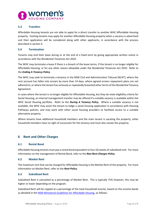

#### <span id="page-5-0"></span>**5.3 Transfers**

Affordable Housing tenants are not able to apply for a direct transfer to another WHC Affordable Housing property. Existing tenants may apply for another Affordable Housing property when a vacancy is advertised and their application will be considered along with other applicants, in accordance with the process described in section 4.

#### <span id="page-5-1"></span>**5.4 Termination**

Tenants may end their lease during or at the end of a fixed term by giving appropriate written notice in accordance with the *Residential Tenancies Act 2010*.

The WHC may terminate a lease if there is a breach of the lease terms, if the tenant is no longer eligible for Affordable Housing, or for any other reason allowable under the *Residential Tenancies Act 2010*. Refer to the *Ending A Tenancy Policy*.

The WHC may seek to terminate a tenancy in the NSW Civil and Administrative Tribunal (NCAT), where the rent account has fallen into arrears by more than 14 days, where agreed arrears repayment plans are not adhered to, or where the tenant has seriously or repeatedly breached other terms of the Residential Tenancy Agreement.

In cases where the tenant is no longer eligible for Affordable Housing, but they do meet eligibility criteria for Social Housing, an internal management transfer may be offered if a suitable vacancy is available within the WHC Social Housing portfolio. Refer to the *During A Tenancy Policy*. Where a suitable vacancy is not available, the WHC may assist the tenant to lodge a social housing application in accordance with Housing Pathways policies, and may work with other social housing providers to facilitate access to a suitable alternative property.

Where tenants have additional household members and the main tenant is vacating the property, other household members have no right of succession for the tenancy and must also vacate the property.

# <span id="page-5-2"></span>**6 Rent and Other Charges**

#### <span id="page-5-3"></span>**6.1 Rental Bond**

Affordable Housing tenants must pay a rental bond equivalent to four (4) weeks of subsidised rent. For more information on the management of Rental Bond, refer to the *Non-Rent Charges Policy*.

#### <span id="page-5-4"></span>**6.2 Market Rent**

The maximum rent that can be charged for Affordable Housing is the Market Rent of the property. For more information on Market Rent, refer to the *Rent Policy*.

#### <span id="page-5-5"></span>**6.3 Subsidised Rent**

Subsidised Rent is calculated as a percentage of Market Rent. This is typically 75% however, this may be higher or lower depending on the program.

Subsidised Rent will be capped at a percentage of the total household income, based on the income bands as detailed in the [NSW Ministerial Guidelines for Affordable Housing,](https://www.facs.nsw.gov.au/download?file=332789) as follows: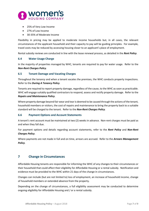

- 25% of Very Low Income
- 27% of Low Income
- 30-35% of Moderate Income

Flexibility in pricing may be applied to moderate income households but, in all cases, the relevant circumstances of the applicant household and their capacity to pay will be guiding principles. For example, travel costs may be reduced by accessing housing closer to an applicant's place of employment.

Rental subsidy reviews are conducted in line with the lease renewal process, as detailed in the *Rent Policy*.

#### <span id="page-6-0"></span>**6.4 Water Usage Charge**

In the majority of properties managed by WHC, tenants are required to pay for water usage. Refer to the *Non-Rent Charges Policy*.

#### <span id="page-6-1"></span>**6.5 Tenant Damage and Vacating Charges**

Throughout the tenancy and when a tenant vacates the premises, the WHC conducts property inspections. Refer to the *During A Tenancy Policy*.

Tenants are required to report property damage, regardless of the cause, to the WHC as soon as practicable. WHC will engage suitably qualified contractors to respond, assess and rectify property damage. Refer to the *Repairs and Maintenance Policy*.

Where property damage beyond fair wear and tear is deemed to be caused through the actions of the tenant, household members or visitors, the cost of repairs and maintenance to bring the property back to a suitable standard will be charged to the tenant. Refer to the *Non-Rent Charges Policy*.

#### <span id="page-6-2"></span>**6.6 Payment Options and Account Statements**

A tenant's rent account must be maintained at two (2) weeks in advance. Non-rent charges must be paid as and when they fall due.

For payment options and details regarding account statements, refer to the *Rent Policy* and *Non-Rent Charges Policy*.

Where payments are not made in full and on time, arrears are accrued. Refer to the *Arrears Management Policy*.

# <span id="page-6-3"></span>**7 Change in Circumstances**

Affordable Housing tenants are responsible for informing the WHC of any changes to their circumstances or their household that could affect their eligibility for Affordable Housing or a rental subsidy. Notification and evidence must be provided to the WHC within 21 days of the change in circumstances.

Changes can include (but are not limited to) loss of employment, an increase of household income, change of household members or extended absence from the property.

Depending on the change of circumstances, a full eligibility assessment may be conducted to determine ongoing eligibility for Affordable Housing and / or a rental subsidy.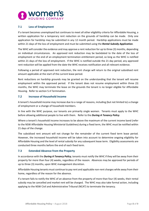

#### <span id="page-7-0"></span>**7.1 Loss of Employment**

If a tenant becomes unemployed but continues to meet all other eligibility criteria for Affordable Housing, a written application for a temporary rent reduction on the grounds of hardship can be made. Only one application for hardship may be submitted in any 12 month period. Hardship applications must be made within 21 days of the loss of employment and must be submitted using the *Rental Subsidy Application*.

The WHC will consider the evidence and may approve a rent reduction for up to three (3) months, depending on individual circumstances. An approved rent reduction may be backdated to the date of the loss of employment or the end of an employment termination entitlement period, so long as the WHC is notified within 21 days of the loss of employment. If the WHC is notified outside the 21 day period, any approved rent reduction will be applied from the date the WHC receives notification and all relevant evidence.

Following a period of approved rent reduction, the rent charge will return to the original subsidised rent amount applicable at the start of the current lease period.

Rent reductions on hardship grounds may be granted on the understanding that the tenant will resume employment within the approved period. If the tenant does not resume employment within three (3) months, the WHC may terminate the lease on the grounds the tenant is no longer eligible for Affordable Housing. Refer to section 5.4 Termination.

#### <span id="page-7-1"></span>**7.2 Increase of Household Income**

A tenant's household income may increase due to a range of reasons, including (but not limited to) a change of employment or a change of household members.

In line with the WHC purpose, our tenants are primarily single women. Tenants must apply to the WHC before allowing additional people to live with them. Refer to the *During A Tenancy Policy*.

Where a tenant's household income increases to be above the maximum of the current income band (refer to the NSW Affordable Housing Ministerial Guidelines) during a fixed term, the WHC must be notified within 21 days of the change.

The subsidised rent amount will not change for the remainder of the current fixed term lease period. However, the increased household income will be taken into account to determine ongoing eligibility for Affordable Housing and the level of rental subsidy for any subsequent lease term. Eligibility assessments are conducted three months before the end of each fixed term.

#### <span id="page-7-2"></span>**7.3 Extended Absence from the Property**

In accordance with the *During A Tenancy Policy*, tenants must notify the WHC if they will be away from their property for more than four (4) weeks, regardless of the reason. Absences may be approved for periods of up to three (3) months, upon WHC management discretion.

Affordable Housing tenants must continue to pay rent and applicable non-rent charges while away from their home, regardless of the reason for the absence.

If a tenant fails to notify the WHC of an absence from the property of more than four (4) weeks, their rental subsidy may be cancelled and market rent will be charged. The WHC may also take formal action, including applying to the NSW Civil and Administrative Tribunal (NCAT) to terminate the tenancy.